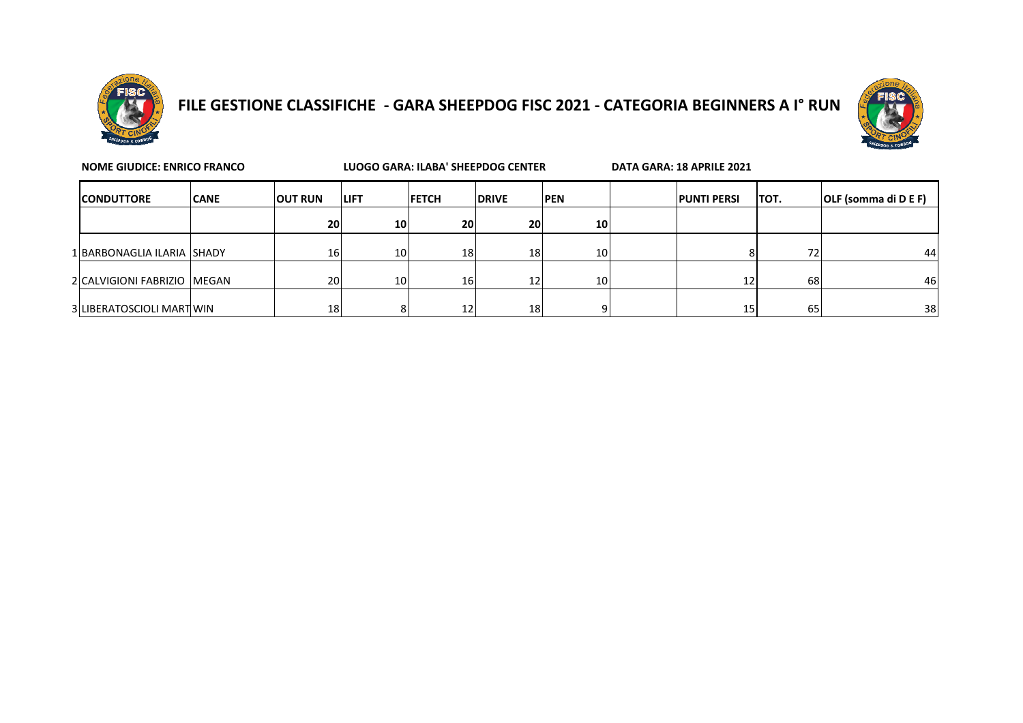

## **FILE GESTIONE CLASSIFICHE - GARA SHEEPDOG FISC 2021 - CATEGORIA BEGINNERS A I° RUN**



| <b>NOME GIUDICE: ENRICO FRANCO</b> |                               |             |                 | <b>LUOGO GARA: ILABA' SHEEPDOG CENTER</b> |                 |              |                 | DATA GARA: 18 APRILE 2021 |                    |      |                      |
|------------------------------------|-------------------------------|-------------|-----------------|-------------------------------------------|-----------------|--------------|-----------------|---------------------------|--------------------|------|----------------------|
|                                    | <b>ICONDUTTORE</b>            | <b>CANE</b> | <b>OUT RUN</b>  | <b>LIFT</b>                               | <b>IFETCH</b>   | <b>DRIVE</b> | <b>IPEN</b>     |                           | <b>PUNTI PERSI</b> | TOT. | OLF (somma di D E F) |
|                                    |                               |             | 20 <sub>l</sub> | 10 <sub>1</sub>                           | 20              | 20           | 10              |                           |                    |      |                      |
|                                    | 1 BARBONAGLIA ILARIA SHADY    |             | 16              | 10 <sup>1</sup>                           | 18              | <b>18</b>    | 10 <sup>1</sup> |                           |                    | 72   | 44                   |
|                                    | 2 CALVIGIONI FABRIZIO   MEGAN |             | 20              | 10 <sup>1</sup>                           | 16 <sub>l</sub> | 12           | 10              |                           | 12                 | 68   | 46                   |
|                                    | 3 LIBERATOSCIOLI MARTIWIN     |             | 18              | 8                                         | 12              | 18           |                 |                           | 15                 | 65   | 38                   |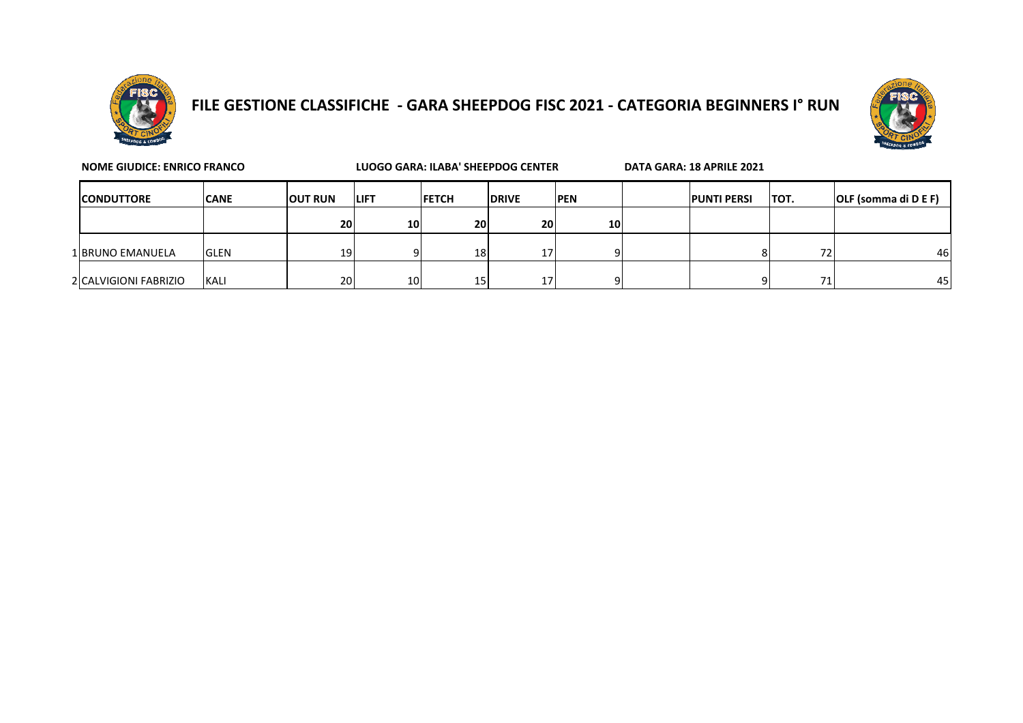

## **FILE GESTIONE CLASSIFICHE - GARA SHEEPDOG FISC 2021 - CATEGORIA BEGINNERS I° RUN**



| <b>NOME GIUDICE: ENRICO FRANCO</b> |             |                | LUOGO GARA: ILABA' SHEEPDOG CENTER |               |                 |             | DATA GARA: 18 APRILE 2021 |                    |      |                             |
|------------------------------------|-------------|----------------|------------------------------------|---------------|-----------------|-------------|---------------------------|--------------------|------|-----------------------------|
| <b>ICONDUTTORE</b>                 | <b>CANE</b> | <b>OUT RUN</b> | <b>ILIFT</b>                       | <b>IFETCH</b> | <b>IDRIVE</b>   | <b>IPEN</b> |                           | <b>PUNTI PERSI</b> | TOT. | <b>OLF</b> (somma di D E F) |
|                                    |             | <b>20</b>      | 10 <sup>1</sup>                    | <b>20</b>     | 20              | 10          |                           |                    |      |                             |
| 1 BRUNO EMANUELA                   | <b>GLEN</b> | 19             |                                    | 18            | 17 <sup>1</sup> |             |                           |                    | 72   | 46                          |
| 2 CALVIGIONI FABRIZIO              | <b>KALI</b> | 20             | 10 <sup>1</sup>                    | 15            | 17 <sup>1</sup> |             |                           |                    | 71   | 45                          |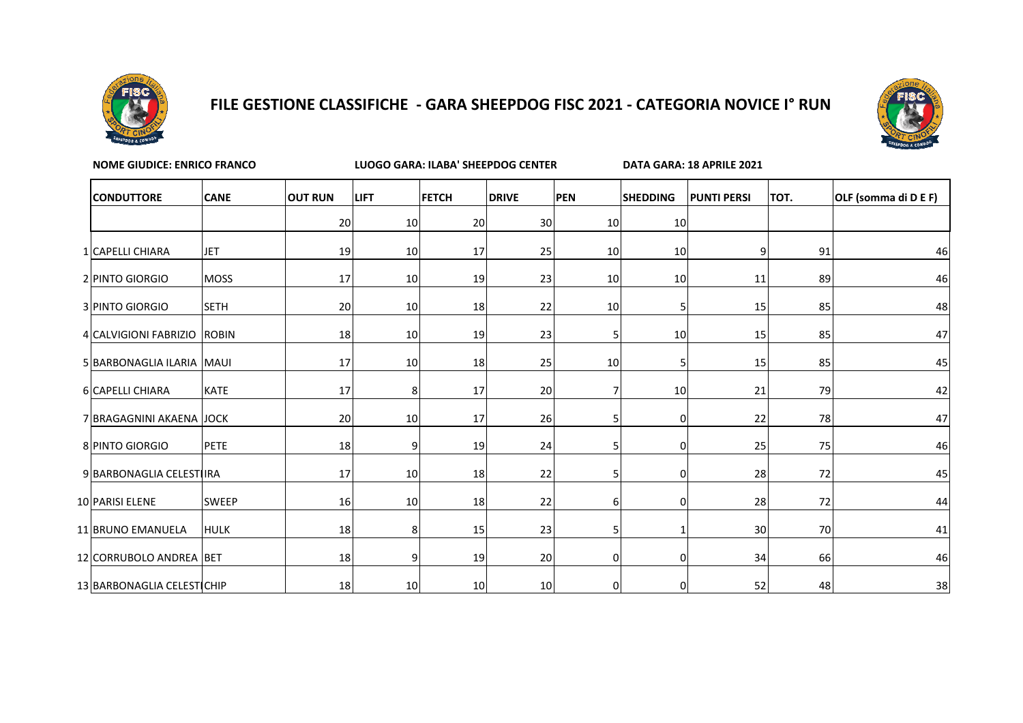

## **FILE GESTIONE CLASSIFICHE - GARA SHEEPDOG FISC 2021 - CATEGORIA NOVICE I° RUN**



| <b>NOME GIUDICE: ENRICO FRANCO</b> |              |                |             | <b>LUOGO GARA: ILABA' SHEEPDOG CENTER</b> |              |                 |                 |                    | DATA GARA: 18 APRILE 2021 |                      |  |  |
|------------------------------------|--------------|----------------|-------------|-------------------------------------------|--------------|-----------------|-----------------|--------------------|---------------------------|----------------------|--|--|
| <b>CONDUTTORE</b>                  | <b>CANE</b>  | <b>OUT RUN</b> | <b>LIFT</b> | <b>FETCH</b>                              | <b>DRIVE</b> | <b>PEN</b>      | <b>SHEDDING</b> | <b>PUNTI PERSI</b> | TOT.                      | OLF (somma di D E F) |  |  |
|                                    |              | 20             | 10          | 20                                        | 30           | 10 <sup>1</sup> | 10              |                    |                           |                      |  |  |
| 1 CAPELLI CHIARA                   | <b>JET</b>   | 19             | 10          | 17                                        | 25           | 10              | 10              | 9                  | 91                        | 46                   |  |  |
| 2 PINTO GIORGIO                    | <b>MOSS</b>  | 17             | 10          | 19                                        | 23           | 10 <sub>l</sub> | 10              | 11                 | 89                        | 46                   |  |  |
| 3 PINTO GIORGIO                    | <b>SETH</b>  | 20             | 10          | 18                                        | 22           | 10              | 5               | 15                 | 85                        | 48                   |  |  |
| 4 CALVIGIONI FABRIZIO ROBIN        |              | 18             | 10          | 19                                        | 23           | 5               | 10              | 15                 | 85                        | 47                   |  |  |
| 5 BARBONAGLIA ILARIA MAUI          |              | 17             | 10          | 18                                        | 25           | 10              |                 | 15                 | 85                        | 45                   |  |  |
| 6 CAPELLI CHIARA                   | <b>KATE</b>  | 17             | 8           | 17                                        | 20           | 7               | 10              | 21                 | 79                        | 42                   |  |  |
| 7 BRAGAGNINI AKAENA JJOCK          |              | 20             | 10          | 17                                        | 26           | 5               | 0               | 22                 | 78                        | 47                   |  |  |
| 8 PINTO GIORGIO                    | <b>PETE</b>  | 18             | 9           | 19                                        | 24           | 5               | 0               | 25                 | 75                        | 46                   |  |  |
| 9 BARBONAGLIA CELESTIIRA           |              | 17             | 10          | 18                                        | 22           | 5               | 0               | 28                 | 72                        | 45                   |  |  |
| 10 PARISI ELENE                    | <b>SWEEP</b> | 16             | 10          | 18                                        | 22           | 6               | 0               | 28                 | 72                        | 44                   |  |  |
| 11 BRUNO EMANUELA                  | <b>HULK</b>  | 18             | 8           | 15                                        | 23           | 5               |                 | 30                 | 70                        | 41                   |  |  |
| 12 CORRUBOLO ANDREA BET            |              | 18             | 9           | 19                                        | 20           | $\overline{0}$  | 0               | 34                 | 66                        | 46                   |  |  |
| 13 BARBONAGLIA CELESTICHIP         |              | 18             | 10          | 10                                        | 10           | $\overline{0}$  | 0               | 52                 | 48                        | 38                   |  |  |